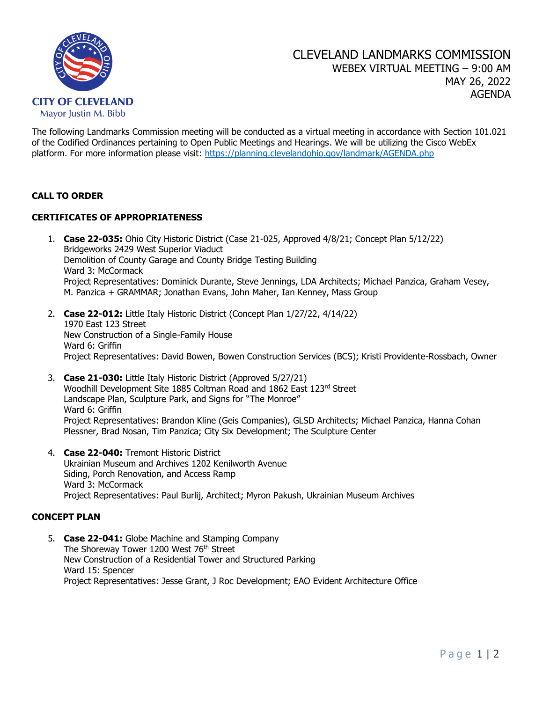

The following Landmarks Commission meeting will be conducted as a virtual meeting in accordance with Section 101.021 of the Codified Ordinances pertaining to Open Public Meetings and Hearings. We will be utilizing the Cisco WebEx platform. For more information please visit: <https://planning.clevelandohio.gov/landmark/AGENDA.php>

### **CALL TO ORDER**

# **CERTIFICATES OF APPROPRIATENESS**

- 1. **Case 22-035:** Ohio City Historic District (Case 21-025, Approved 4/8/21; Concept Plan 5/12/22) Bridgeworks 2429 West Superior Viaduct Demolition of County Garage and County Bridge Testing Building Ward 3: McCormack Project Representatives: Dominick Durante, Steve Jennings, LDA Architects; Michael Panzica, Graham Vesey, M. Panzica + GRAMMAR; Jonathan Evans, John Maher, Ian Kenney, Mass Group
- 2. **Case 22-012:** Little Italy Historic District (Concept Plan 1/27/22, 4/14/22) 1970 East 123 Street New Construction of a Single-Family House Ward 6: Griffin Project Representatives: David Bowen, Bowen Construction Services (BCS); Kristi Providente-Rossbach, Owner
- 3. **Case 21-030:** Little Italy Historic District (Approved 5/27/21) Woodhill Development Site 1885 Coltman Road and 1862 East 123rd Street Landscape Plan, Sculpture Park, and Signs for "The Monroe" Ward 6: Griffin Project Representatives: Brandon Kline (Geis Companies), GLSD Architects; Michael Panzica, Hanna Cohan Plessner, Brad Nosan, Tim Panzica; City Six Development; The Sculpture Center
- 4. **Case 22-040:** Tremont Historic District Ukrainian Museum and Archives 1202 Kenilworth Avenue Siding, Porch Renovation, and Access Ramp Ward 3: McCormack Project Representatives: Paul Burlij, Architect; Myron Pakush, Ukrainian Museum Archives

#### **CONCEPT PLAN**

5. **Case 22-041:** Globe Machine and Stamping Company The Shoreway Tower 1200 West 76<sup>th</sup> Street New Construction of a Residential Tower and Structured Parking Ward 15: Spencer Project Representatives: Jesse Grant, J Roc Development; EAO Evident Architecture Office